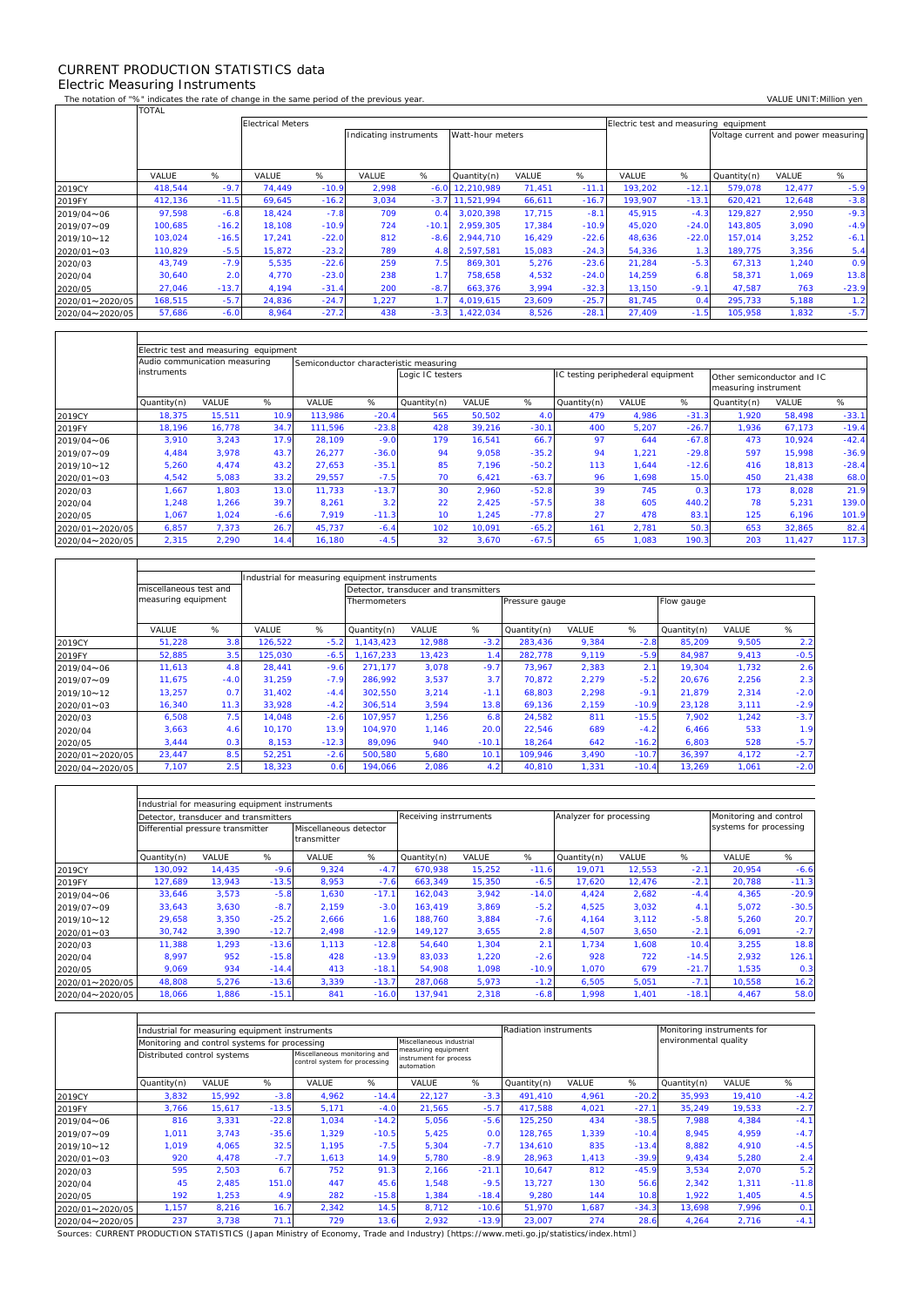## CURRENT PRODUCTION STATISTICS data Electric Measuring Instruments

 $\Gamma$ 

 $\mathbf{r}$ 

 $\overline{\mathsf{T}}$ 

┑

٦

The notation of "%" indicates the rate of change in the same period of the previous year. VALUE UNIT:Million yen<br>TOTAL TOTAL

|                 |         |         | <b>Electrical Meters</b> | Electric test and measuring equipment |                                            |         |             |        |         |         |         |                                     |        |         |
|-----------------|---------|---------|--------------------------|---------------------------------------|--------------------------------------------|---------|-------------|--------|---------|---------|---------|-------------------------------------|--------|---------|
|                 |         |         |                          |                                       | Watt-hour meters<br>Indicating instruments |         |             |        |         |         |         | Voltage current and power measuring |        |         |
|                 |         |         |                          |                                       |                                            |         |             |        |         |         |         |                                     |        |         |
|                 |         |         |                          |                                       |                                            |         |             |        |         |         |         |                                     |        |         |
|                 | VALUE   | %       | VALUE                    | %                                     | VALUE                                      | %       | Quantity(n) | VALUE  | %       | VALUE   | %       | Quantity(n)                         | VALUE  | %       |
| 2019CY          | 418.544 | $-9.7$  | 74.449                   | $-10.9$                               | 2,998                                      | $-6.0$  | 12,210,989  | 71,451 | $-11.1$ | 193,202 | $-12.1$ | 579,078                             | 12,477 | $-5.9$  |
| 2019FY          | 412,136 | $-11.5$ | 69.645                   | $-16.2$                               | 3,034                                      | $-3.7$  | 11.521.994  | 66,611 | $-16.7$ | 193.907 | $-13.1$ | 620.421                             | 12,648 | $-3.8$  |
| 2019/04~06      | 97,598  | $-6.8$  | 18,424                   | $-7.8$                                | 709                                        | 0.4     | 3.020.398   | 17,715 | $-8.1$  | 45,915  | $-4.3$  | 129,827                             | 2,950  | $-9.3$  |
| 2019/07~09      | 100,685 | $-16.2$ | 18.108                   | $-10.9$                               | 724                                        | $-10.1$ | 2.959.305   | 17,384 | $-10.9$ | 45,020  | $-24.0$ | 143,805                             | 3,090  | $-4.9$  |
| 2019/10~12      | 103,024 | $-16.5$ | 17,241                   | $-22.0$                               | 812                                        | $-8.6$  | 2.944.710   | 16,429 | $-22.6$ | 48,636  | $-22.0$ | 157,014                             | 3,252  | $-6.1$  |
| 2020/01~03      | 110,829 | $-5.5$  | 15,872                   | $-23.2$                               | 789                                        | 4.8     | 2,597,581   | 15,083 | $-24.3$ | 54,336  | 1.3     | 189,775                             | 3,356  | 5.4     |
| 2020/03         | 43,749  | $-7.9$  | 5,535                    | $-22.6$                               | 259                                        | 7.5     | 869,301     | 5,276  | $-23.6$ | 21,284  | $-5.3$  | 67,313                              | 1,240  | 0.9     |
| 2020/04         | 30,640  | 2.0     | 4.770                    | $-23.0$                               | 238                                        | 1.7     | 758.658     | 4,532  | $-24.0$ | 14.259  | 6.8     | 58,371                              | 1.069  | 13.8    |
| 2020/05         | 27,046  | $-13.7$ | 4.194                    | $-31.4$                               | 200                                        | $-8.7$  | 663.376     | 3,994  | $-32.3$ | 13.150  | $-9.1$  | 47,587                              | 763    | $-23.9$ |
| 2020/01~2020/05 | 168,515 | $-5.7$  | 24,836                   | $-24.7$                               | 1,227                                      | 1.7     | 4,019,615   | 23,609 | $-25.7$ | 81,745  | 0.4     | 295,733                             | 5,188  | 1.2     |
| 2020/04~2020/05 | 57,686  | $-6.0$  | 8,964                    | $-27.2$                               | 438                                        | $-3.3$  | 1,422,034   | 8,526  | $-28.1$ | 27,409  | $-1.5$  | 105,958                             | 1,832  | $-5.7$  |

|                 | Electric test and measuring equipment |                               |        |                                        |         |                  |        |         |                                   |       |         |                                                    |        |         |  |  |
|-----------------|---------------------------------------|-------------------------------|--------|----------------------------------------|---------|------------------|--------|---------|-----------------------------------|-------|---------|----------------------------------------------------|--------|---------|--|--|
|                 |                                       | Audio communication measuring |        | Semiconductor characteristic measuring |         |                  |        |         |                                   |       |         |                                                    |        |         |  |  |
|                 | instruments                           |                               |        |                                        |         | Logic IC testers |        |         | IC testing periphederal equipment |       |         | Other semiconductor and IC<br>measuring instrument |        |         |  |  |
|                 | Quantity(n)                           | VALUE                         | %      | VALUE                                  | %       | Quantity(n)      | VALUE  | %       | Quantity(n)                       | VALUE | %       | Quantity(n)                                        | VALUE  | %       |  |  |
| 2019CY          | 18,375                                | 15,511                        | 10.9   | 113,986                                | $-20.4$ | 565              | 50,502 | 4.0     | 479                               | 4,986 | $-31.3$ | 1.920                                              | 58,498 | $-33.1$ |  |  |
| 2019FY          | 18.196                                | 16.778                        | 34.7   | 111.596                                | $-23.8$ | 428              | 39.216 | $-30.1$ | 400                               | 5,207 | $-26.7$ | 1.936                                              | 67,173 | $-19.4$ |  |  |
| 2019/04~06      | 3,910                                 | 3,243                         | 17.9   | 28,109                                 | $-9.0$  | 179              | 16,541 | 66.7    | 97                                | 644   | $-67.8$ | 473                                                | 10.924 | $-42.4$ |  |  |
| 2019/07~09      | 4,484                                 | 3.978                         | 43.7   | 26,277                                 | $-36.0$ | 94               | 9,058  | $-35.2$ | 94                                | 1,221 | $-29.8$ | 597                                                | 15,998 | $-36.9$ |  |  |
| 2019/10~12      | 5,260                                 | 4.474                         | 43.2   | 27.653                                 | $-35.1$ | 85               | 7.196  | $-50.2$ | 113                               | 1.644 | $-12.6$ | 416                                                | 18.813 | $-28.4$ |  |  |
| 2020/01~03      | 4,542                                 | 5,083                         | 33.2   | 29,557                                 | $-7.5$  | 70               | 6,421  | $-63.7$ | 96                                | 1,698 | 15.0    | 450                                                | 21,438 | 68.0    |  |  |
| 2020/03         | 1,667                                 | 1,803                         | 13.0   | 11.733                                 | $-13.7$ | 30               | 2.960  | $-52.8$ | 39                                | 745   | 0.3     | 173                                                | 8.028  | 21.9    |  |  |
| 2020/04         | 1,248                                 | 1,266                         | 39.7   | 8,261                                  | 3.2     | 22               | 2,425  | $-57.5$ | 38                                | 605   | 440.2   | 78                                                 | 5,231  | 139.0   |  |  |
| 2020/05         | 1.067                                 | 1.024                         | $-6.6$ | 7.919                                  | $-11.3$ | 10 <sup>1</sup>  | 1.245  | $-77.8$ | 27                                | 478   | 83.1    | 125                                                | 6.196  | 101.9   |  |  |
| 2020/01~2020/05 | 6,857                                 | 7.373                         | 26.7   | 45.737                                 | $-6.4$  | 102              | 10.091 | $-65.2$ | 161                               | 2,781 | 50.3    | 653                                                | 32,865 | 82.4    |  |  |
| 2020/04~2020/05 | 2,315                                 | 2,290                         | 14.4   | 16,180                                 | $-4.5$  | 32               | 3,670  | $-67.5$ | 65                                | 1,083 | 190.3   | 203                                                | 11,427 | 117.3   |  |  |

|                 |                        |        | Industrial for measuring equipment instruments |         |                                       |        |              |                |       |         |             |       |        |  |
|-----------------|------------------------|--------|------------------------------------------------|---------|---------------------------------------|--------|--------------|----------------|-------|---------|-------------|-------|--------|--|
|                 | miscellaneous test and |        |                                                |         | Detector, transducer and transmitters |        |              |                |       |         |             |       |        |  |
|                 | measuring equipment    |        |                                                |         | <b>Thermometers</b>                   |        |              | Pressure gauge |       |         | Flow gauge  |       |        |  |
|                 |                        | %      |                                                | %       |                                       |        |              |                | VALUE | %       |             |       | %      |  |
|                 | VALUE                  |        | VALUE                                          |         | Quantity(n)                           | VALUE  | %            | Quantity(n)    |       |         | Quantity(n) | VALUE |        |  |
| 2019CY          | 51,228                 | 3.8    | 126,522                                        | $-5.2$  | 1.143.423                             | 12,988 | $-3.2$       | 283,436        | 9,384 | $-2.8$  | 85.209      | 9,505 | 2.2    |  |
| 2019FY          | 52,885                 | 3.5    | 125,030                                        | $-6.5$  | 1.167.233                             | 13,423 | $\mathbf{A}$ | 282,778        | 9,119 | $-5.9$  | 84.987      | 9,413 | $-0.5$ |  |
| 2019/04~06      | 11.613                 | 4.8    | 28.441                                         | $-9.6$  | 271.177                               | 3,078  | $-9.7$       | 73.967         | 2,383 | 2.1     | 19.304      | 1.732 | 2.6    |  |
| 2019/07~09      | 11.675                 | $-4.0$ | 31.259                                         | $-7.9$  | 286.992                               | 3,537  | 3.7          | 70.872         | 2,279 | $-5.2$  | 20.676      | 2,256 | 2.3    |  |
| 2019/10~12      | 13,257                 | 0.7    | 31.402                                         | $-4.4$  | 302.550                               | 3,214  | $-1.1$       | 68,803         | 2,298 | $-9.1$  | 21,879      | 2,314 | $-2.0$ |  |
| 2020/01~03      | 16,340                 | 11.3   | 33,928                                         | $-4.2$  | 306,514                               | 3,594  | 13.8         | 69,136         | 2,159 | $-10.9$ | 23,128      | 3,111 | $-2.9$ |  |
| 2020/03         | 6.508                  | 7.5    | 14.048                                         | $-2.6$  | 107.957                               | 1.256  | 6.8          | 24.582         | 811   | $-15.5$ | 7.902       | 1,242 | $-3.7$ |  |
| 2020/04         | 3,663                  | 4.6    | 10.170                                         | 13.9    | 104.970                               | 1.146  | 20.0         | 22,546         | 689   | $-4.2$  | 6,466       | 533   | 1.9    |  |
| 2020/05         | 3,444                  | 0.3    | 8.153                                          | $-12.3$ | 89.096                                | 940    | $-10.1$      | 18.264         | 642   | $-16.2$ | 6,803       | 528   | $-5.7$ |  |
| 2020/01~2020/05 | 23,447                 | 8.5    | 52,251                                         | $-2.6$  | 500,580                               | 5,680  | 10.1         | 109,946        | 3,490 | $-10.7$ | 36,397      | 4,172 | $-2.7$ |  |
| 2020/04~2020/05 | 7,107                  | 2.5    | 18,323                                         | 0.6     | 194,066                               | 2,086  | 4.2          | 40,810         | 1,331 | $-10.4$ | 13,269      | 1,061 | $-2.0$ |  |

|                 |                                       | Industrial for measuring equipment instruments |         |                                       |         |                        |        |         |                         |        |                        |        |         |
|-----------------|---------------------------------------|------------------------------------------------|---------|---------------------------------------|---------|------------------------|--------|---------|-------------------------|--------|------------------------|--------|---------|
|                 | Detector, transducer and transmitters |                                                |         |                                       |         | Receiving instrruments |        |         | Analyzer for processing |        | Monitoring and control |        |         |
|                 | Differential pressure transmitter     |                                                |         | Miscellaneous detector<br>transmitter |         |                        |        |         |                         |        | systems for processing |        |         |
|                 | Quantity(n)                           | <b>VALUE</b>                                   | %       | <b>VALUE</b>                          | %       | Quantity(n)            | VALUE  | %       | Quantity(n)             | VALUE  | %                      | VALUE  | %       |
| 2019CY          | 130.092                               | 14,435                                         | $-9.6$  | 9,324                                 | $-4.7$  | 670.938                | 15,252 | $-11.6$ | 19.071                  | 12,553 | $-2.1$                 | 20,954 | $-6.6$  |
| 2019FY          | 127,689                               | 13,943                                         | $-13.5$ | 8,953                                 | $-7.6$  | 663,349                | 15,350 | $-6.5$  | 17,620                  | 12,476 | $-2.1$                 | 20,788 | $-11.3$ |
| 2019/04~06      | 33,646                                | 3,573                                          | $-5.8$  | 1,630                                 | $-17.1$ | 162.043                | 3,942  | $-14.0$ | 4.424                   | 2,682  | $-4.4$                 | 4,365  | $-20.9$ |
| 2019/07~09      | 33,643                                | 3,630                                          | $-8.7$  | 2.159                                 | $-3.0$  | 163.419                | 3,869  | $-5.2$  | 4,525                   | 3,032  | 4.1                    | 5,072  | $-30.5$ |
| 2019/10~12      | 29,658                                | 3,350                                          | $-25.2$ | 2,666                                 | 1.6     | 188.760                | 3,884  | $-7.6$  | 4,164                   | 3,112  | $-5.8$                 | 5,260  | 20.7    |
| 2020/01~03      | 30,742                                | 3,390                                          | $-12.7$ | 2,498                                 | $-12.9$ | 149.127                | 3,655  | 2.8     | 4,507                   | 3,650  | $-2.1$                 | 6,091  | $-2.7$  |
| 2020/03         | 11,388                                | 1,293                                          | $-13.6$ | 1,113                                 | $-12.8$ | 54,640                 | 1,304  | 2.1     | 1.734                   | 1,608  | 10.4                   | 3,255  | 18.8    |
| 2020/04         | 8,997                                 | 952                                            | $-15.8$ | 428                                   | $-13.9$ | 83,033                 | 1,220  | $-2.6$  | 928                     | 722    | $-14.5$                | 2,932  | 126.1   |
| 2020/05         | 9,069                                 | 934                                            | $-14.4$ | 413                                   | $-18.1$ | 54,908                 | 1,098  | $-10.9$ | 1,070                   | 679    | $-21.7$                | 1,535  | 0.3     |
| 2020/01~2020/05 | 48,808                                | 5,276                                          | $-13.6$ | 3,339                                 | $-13.7$ | 287,068                | 5,973  | $-1.2$  | 6,505                   | 5,051  | $-7.1$                 | 10,558 | 16.2    |
| 2020/04~2020/05 | 18,066                                | ,886                                           | $-15.1$ | 841                                   | $-16.0$ | 137,941                | 2,318  | $-6.8$  | 1,998                   | 1,401  | $-18.1$                | 4,467  | 58.0    |

|                 |                             | Industrial for measuring equipment instruments |         |                                                               |         | Radiation instruments                                       |         |             | Monitoring instruments for |         |                       |        |         |  |
|-----------------|-----------------------------|------------------------------------------------|---------|---------------------------------------------------------------|---------|-------------------------------------------------------------|---------|-------------|----------------------------|---------|-----------------------|--------|---------|--|
|                 |                             | Monitoring and control systems for processing  |         |                                                               |         | Miscellaneous industrial                                    |         |             |                            |         | environmental quality |        |         |  |
|                 | Distributed control systems |                                                |         | Miscellaneous monitoring and<br>control system for processing |         | measuring equipment<br>instrument for process<br>automation |         |             |                            |         |                       |        |         |  |
|                 | Quantity(n)                 | VALUE                                          | %       | VALUE                                                         | %       | VALUE                                                       | %       | Quantity(n) | VALUE                      | %       | Quantity(n)           | VALUE  | %       |  |
| 2019CY          | 3,832                       | 15,992                                         | $-3.8$  | 4,962                                                         | $-14.4$ | 22,127                                                      | $-3.3$  | 491.410     | 4,961                      | $-20.2$ | 35,993                | 19,410 | $-4.2$  |  |
| 2019FY          | 3.766                       | 15,617                                         | $-13.5$ | 5,171                                                         | $-4.0$  | 21,565                                                      | $-5.7$  | 417.588     | 4,021                      | $-27.1$ | 35,249                | 19,533 | $-2.7$  |  |
| 2019/04~06      | 816                         | 3,331                                          | $-22.8$ | 1.034                                                         | $-14.2$ | 5.056                                                       | $-5.6$  | 125.250     | 434                        | $-38.5$ | 7.988                 | 4,384  | $-4.1$  |  |
| 2019/07~09      | 1.011                       | 3.743                                          | $-35.6$ | 1.329                                                         | $-10.5$ | 5.425                                                       | 0.0     | 128.765     | 1.339                      | $-10.4$ | 8.945                 | 4,959  | $-4.7$  |  |
| 2019/10~12      | 1.019                       | 4,065                                          | 32.5    | 1.195                                                         | $-7.5$  | 5,304                                                       | $-7.7$  | 134.610     | 835                        | $-13.4$ | 8,882                 | 4,910  | $-4.5$  |  |
| 2020/01~03      | 920                         | 4,478                                          | $-7.7$  | 1,613                                                         | 14.9    | 5,780                                                       | $-8.9$  | 28,963      | 1,413                      | $-39.9$ | 9,434                 | 5,280  | 2.4     |  |
| 2020/03         | 595                         | 2,503                                          | 6.7     | 752                                                           | 91.3    | 2.166                                                       | $-21.1$ | 10.647      | 812                        | $-45.9$ | 3,534                 | 2,070  | 5.2     |  |
| 2020/04         | 45                          | 2.485                                          | 151.0   | 447                                                           | 45.6    | 1.548                                                       | $-9.5$  | 13.727      | 130                        | 56.6    | 2.342                 | 1,311  | $-11.8$ |  |
| 2020/05         | 192                         | 1,253                                          | 4.9     | 282                                                           | $-15.8$ | 1,384                                                       | $-18.4$ | 9,280       | 144                        | 10.8    | 1,922                 | 1,405  | 4.5     |  |
| 2020/01~2020/05 | 1.157                       | 8,216                                          | 16.7    | 2,342                                                         | 14.5    | 8.712                                                       | $-10.6$ | 51.970      | 1,687                      | $-34.3$ | 13.698                | 7,996  | 0.1     |  |
| 2020/04~2020/05 | 237                         | 3,738                                          | 71.1    | 729                                                           | 13.6    | 2,932                                                       | $-13.9$ | 23,007      | 274                        | 28.6    | 4,264                 | 2,716  | $-4.1$  |  |

Sources: CURRENT PRODUCTION STATISTICS (Japan Ministry of Economy, Trade and Industry) 〔https://www.meti.go.jp/statistics/index.html〕